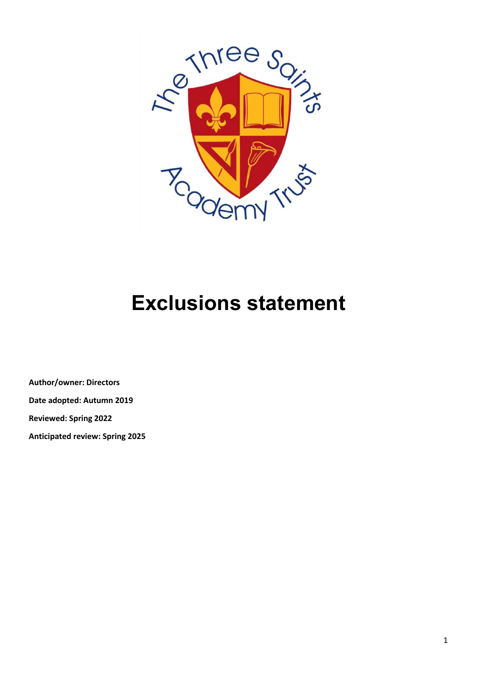

# **Exclusions statement**

**Author/owner: Directors Date adopted: Autumn 2019 Reviewed: Spring 2022**

**Anticipated review: Spring 2025**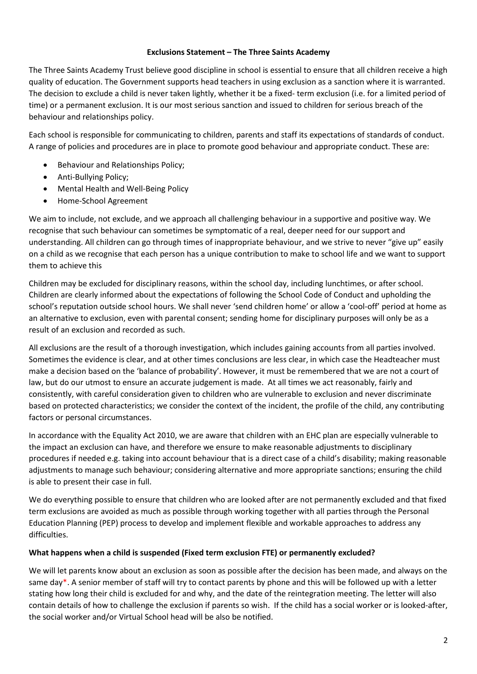### **Exclusions Statement – The Three Saints Academy**

The Three Saints Academy Trust believe good discipline in school is essential to ensure that all children receive a high quality of education. The Government supports head teachers in using exclusion as a sanction where it is warranted. The decision to exclude a child is never taken lightly, whether it be a fixed- term exclusion (i.e. for a limited period of time) or a permanent exclusion. It is our most serious sanction and issued to children for serious breach of the behaviour and relationships policy.

Each school is responsible for communicating to children, parents and staff its expectations of standards of conduct. A range of policies and procedures are in place to promote good behaviour and appropriate conduct. These are:

- Behaviour and Relationships Policy;
- Anti-Bullying Policy;
- Mental Health and Well-Being Policy
- Home-School Agreement

We aim to include, not exclude, and we approach all challenging behaviour in a supportive and positive way. We recognise that such behaviour can sometimes be symptomatic of a real, deeper need for our support and understanding. All children can go through times of inappropriate behaviour, and we strive to never "give up" easily on a child as we recognise that each person has a unique contribution to make to school life and we want to support them to achieve this

Children may be excluded for disciplinary reasons, within the school day, including lunchtimes, or after school. Children are clearly informed about the expectations of following the School Code of Conduct and upholding the school's reputation outside school hours. We shall never 'send children home' or allow a 'cool-off' period at home as an alternative to exclusion, even with parental consent; sending home for disciplinary purposes will only be as a result of an exclusion and recorded as such.

All exclusions are the result of a thorough investigation, which includes gaining accounts from all parties involved. Sometimes the evidence is clear, and at other times conclusions are less clear, in which case the Headteacher must make a decision based on the 'balance of probability'. However, it must be remembered that we are not a court of law, but do our utmost to ensure an accurate judgement is made. At all times we act reasonably, fairly and consistently, with careful consideration given to children who are vulnerable to exclusion and never discriminate based on protected characteristics; we consider the context of the incident, the profile of the child, any contributing factors or personal circumstances.

In accordance with the Equality Act 2010, we are aware that children with an EHC plan are especially vulnerable to the impact an exclusion can have, and therefore we ensure to make reasonable adjustments to disciplinary procedures if needed e.g. taking into account behaviour that is a direct case of a child's disability; making reasonable adjustments to manage such behaviour; considering alternative and more appropriate sanctions; ensuring the child is able to present their case in full.

We do everything possible to ensure that children who are looked after are not permanently excluded and that fixed term exclusions are avoided as much as possible through working together with all parties through the Personal Education Planning (PEP) process to develop and implement flexible and workable approaches to address any difficulties.

## **What happens when a child is suspended (Fixed term exclusion FTE) or permanently excluded?**

We will let parents know about an exclusion as soon as possible after the decision has been made, and always on the same day\*. A senior member of staff will try to contact parents by phone and this will be followed up with a letter stating how long their child is excluded for and why, and the date of the reintegration meeting. The letter will also contain details of how to challenge the exclusion if parents so wish. If the child has a social worker or is looked-after, the social worker and/or Virtual School head will be also be notified.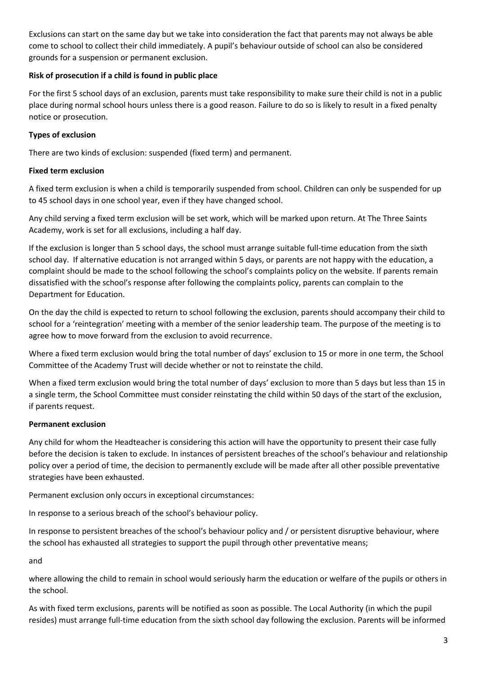Exclusions can start on the same day but we take into consideration the fact that parents may not always be able come to school to collect their child immediately. A pupil's behaviour outside of school can also be considered grounds for a suspension or permanent exclusion.

## **Risk of prosecution if a child is found in public place**

For the first 5 school days of an exclusion, parents must take responsibility to make sure their child is not in a public place during normal school hours unless there is a good reason. Failure to do so is likely to result in a fixed penalty notice or prosecution.

## **Types of exclusion**

There are two kinds of exclusion: suspended (fixed term) and permanent.

## **Fixed term exclusion**

A fixed term exclusion is when a child is temporarily suspended from school. Children can only be suspended for up to 45 school days in one school year, even if they have changed school.

Any child serving a fixed term exclusion will be set work, which will be marked upon return. At The Three Saints Academy, work is set for all exclusions, including a half day.

If the exclusion is longer than 5 school days, the school must arrange suitable full-time education from the sixth school day. If alternative education is not arranged within 5 days, or parents are not happy with the education, a complaint should be made to the school following the school's complaints policy on the website. If parents remain dissatisfied with the school's response after following the complaints policy, parents can complain to the Department for Education.

On the day the child is expected to return to school following the exclusion, parents should accompany their child to school for a 'reintegration' meeting with a member of the senior leadership team. The purpose of the meeting is to agree how to move forward from the exclusion to avoid recurrence.

Where a fixed term exclusion would bring the total number of days' exclusion to 15 or more in one term, the School Committee of the Academy Trust will decide whether or not to reinstate the child.

When a fixed term exclusion would bring the total number of days' exclusion to more than 5 days but less than 15 in a single term, the School Committee must consider reinstating the child within 50 days of the start of the exclusion, if parents request.

## **Permanent exclusion**

Any child for whom the Headteacher is considering this action will have the opportunity to present their case fully before the decision is taken to exclude. In instances of persistent breaches of the school's behaviour and relationship policy over a period of time, the decision to permanently exclude will be made after all other possible preventative strategies have been exhausted.

Permanent exclusion only occurs in exceptional circumstances:

In response to a serious breach of the school's behaviour policy.

In response to persistent breaches of the school's behaviour policy and / or persistent disruptive behaviour, where the school has exhausted all strategies to support the pupil through other preventative means;

and

where allowing the child to remain in school would seriously harm the education or welfare of the pupils or others in the school.

As with fixed term exclusions, parents will be notified as soon as possible. The Local Authority (in which the pupil resides) must arrange full-time education from the sixth school day following the exclusion. Parents will be informed